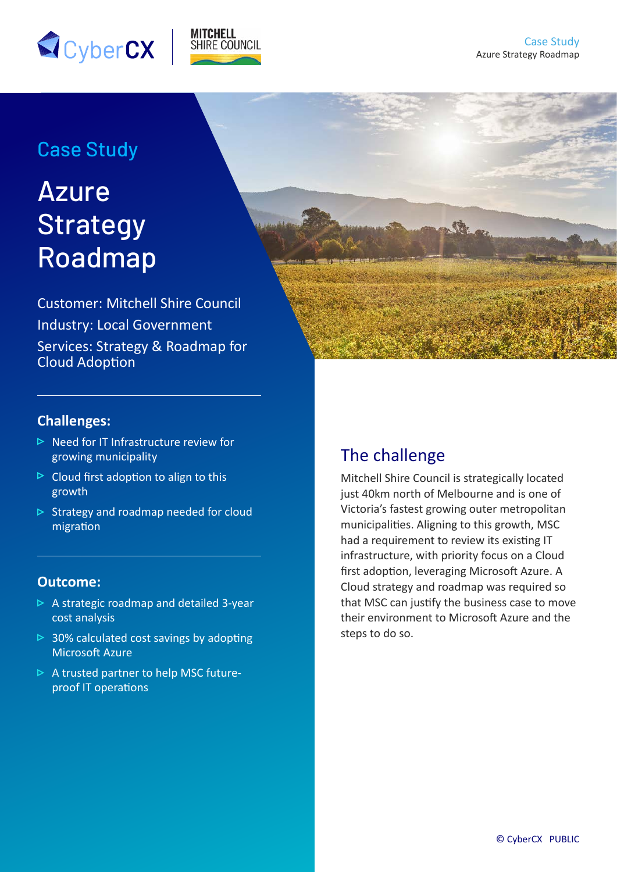



## Case Study

# Azure **Strategy** Roadmap

Customer: Mitchell Shire Council Industry: Local Government Services: Strategy & Roadmap for Cloud Adoption

#### **Challenges:**

- $\triangleright$  Need for IT Infrastructure review for growing municipality
- $\triangleright$  Cloud first adoption to align to this growth
- $\triangleright$  Strategy and roadmap needed for cloud migration

#### **Outcome:**

- $\triangleright$  A strategic roadmap and detailed 3-year cost analysis
- $\triangleright$  30% calculated cost savings by adopting Microsoft Azure
- $\triangleright$  A trusted partner to help MSC futureproof IT operations

## The challenge

Mitchell Shire Council is strategically located just 40km north of Melbourne and is one of Victoria's fastest growing outer metropolitan municipalities. Aligning to this growth, MSC had a requirement to review its existing IT infrastructure, with priority focus on a Cloud first adoption, leveraging Microsoft Azure. A Cloud strategy and roadmap was required so that MSC can justify the business case to move their environment to Microsoft Azure and the steps to do so.